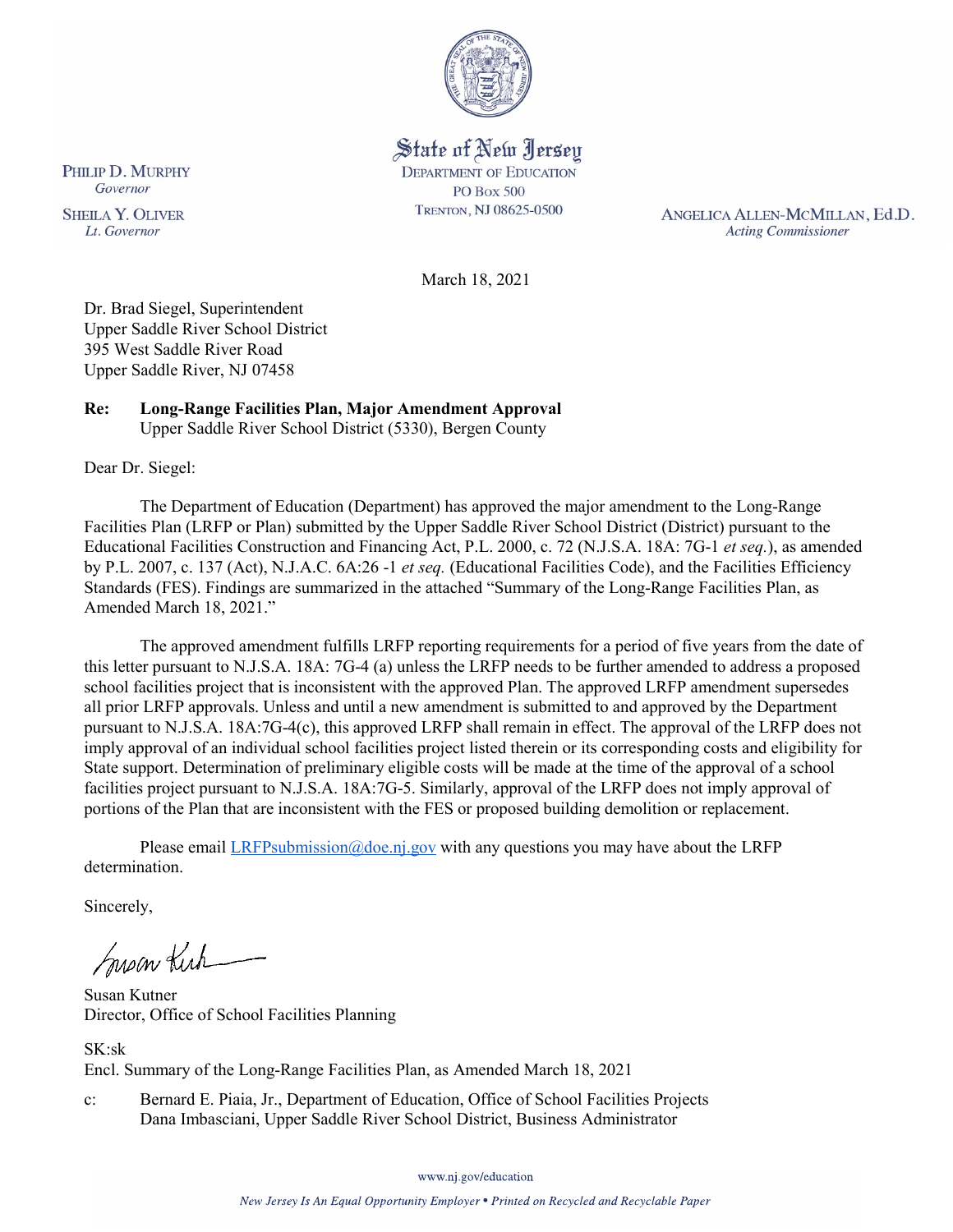

State of New Jersey **DEPARTMENT OF EDUCATION PO Box 500** TRENTON, NJ 08625-0500

ANGELICA ALLEN-MCMILLAN, Ed.D. **Acting Commissioner** 

March 18, 2021

Dr. Brad Siegel, Superintendent Upper Saddle River School District 395 West Saddle River Road Upper Saddle River, NJ 07458

#### **Re: Long-Range Facilities Plan, Major Amendment Approval**  Upper Saddle River School District (5330), Bergen County

Dear Dr. Siegel:

The Department of Education (Department) has approved the major amendment to the Long-Range Facilities Plan (LRFP or Plan) submitted by the Upper Saddle River School District (District) pursuant to the Educational Facilities Construction and Financing Act, P.L. 2000, c. 72 (N.J.S.A. 18A: 7G-1 *et seq.*), as amended by P.L. 2007, c. 137 (Act), N.J.A.C. 6A:26 -1 *et seq.* (Educational Facilities Code), and the Facilities Efficiency Standards (FES). Findings are summarized in the attached "Summary of the Long-Range Facilities Plan, as Amended March 18, 2021."

The approved amendment fulfills LRFP reporting requirements for a period of five years from the date of this letter pursuant to N.J.S.A. 18A: 7G-4 (a) unless the LRFP needs to be further amended to address a proposed school facilities project that is inconsistent with the approved Plan. The approved LRFP amendment supersedes all prior LRFP approvals. Unless and until a new amendment is submitted to and approved by the Department pursuant to N.J.S.A. 18A:7G-4(c), this approved LRFP shall remain in effect. The approval of the LRFP does not imply approval of an individual school facilities project listed therein or its corresponding costs and eligibility for State support. Determination of preliminary eligible costs will be made at the time of the approval of a school facilities project pursuant to N.J.S.A. 18A:7G-5. Similarly, approval of the LRFP does not imply approval of portions of the Plan that are inconsistent with the FES or proposed building demolition or replacement.

Please email  $LRFP submission@doe.nj.gov$  with any questions you may have about the LRFP determination.

Sincerely,

Susan Kich

Susan Kutner Director, Office of School Facilities Planning

SK:sk Encl. Summary of the Long-Range Facilities Plan, as Amended March 18, 2021

c: Bernard E. Piaia, Jr., Department of Education, Office of School Facilities Projects Dana Imbasciani, Upper Saddle River School District, Business Administrator

www.nj.gov/education

PHILIP D. MURPHY Governor

**SHEILA Y. OLIVER** Lt. Governor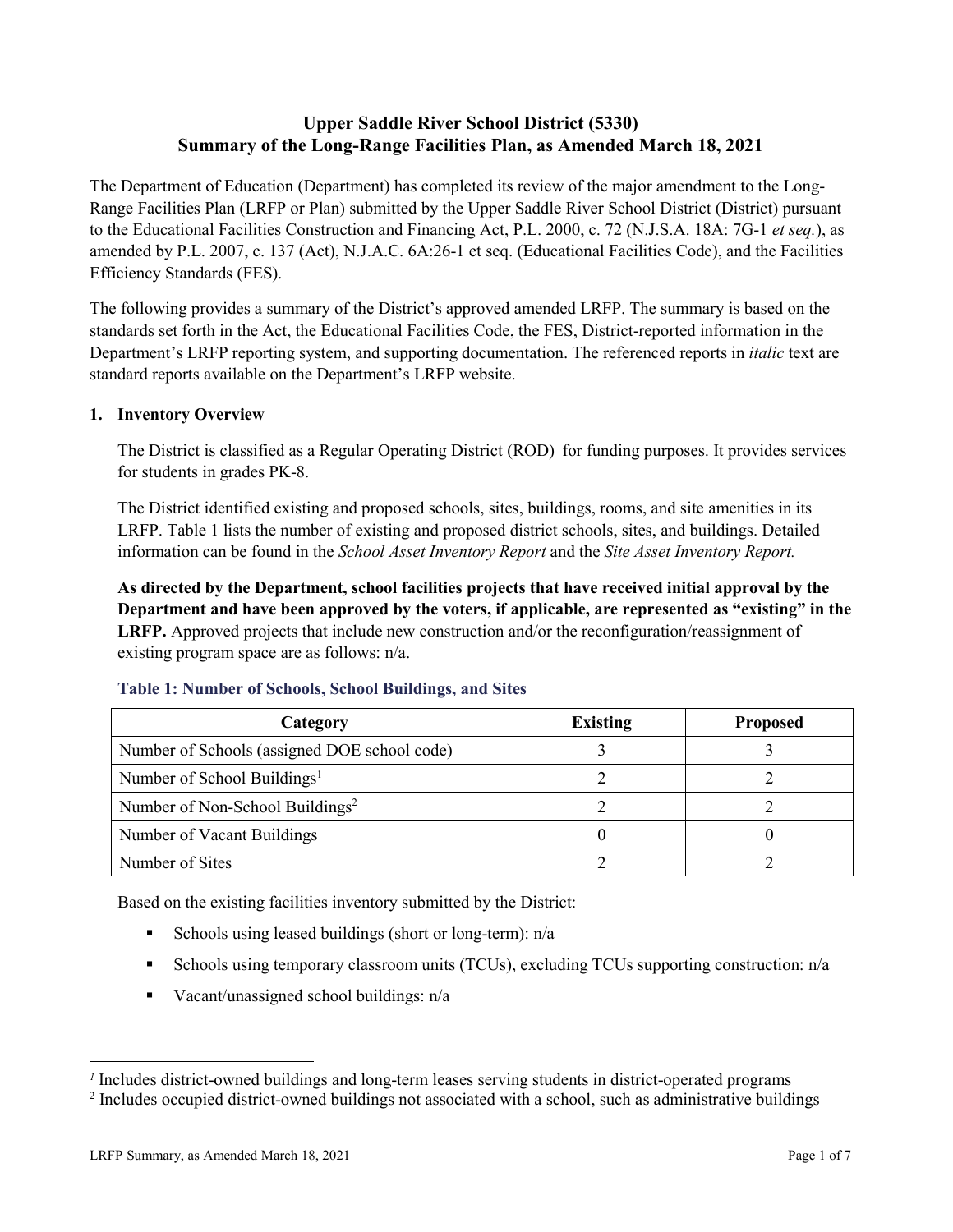# **Upper Saddle River School District (5330) Summary of the Long-Range Facilities Plan, as Amended March 18, 2021**

The Department of Education (Department) has completed its review of the major amendment to the Long-Range Facilities Plan (LRFP or Plan) submitted by the Upper Saddle River School District (District) pursuant to the Educational Facilities Construction and Financing Act, P.L. 2000, c. 72 (N.J.S.A. 18A: 7G-1 *et seq.*), as amended by P.L. 2007, c. 137 (Act), N.J.A.C. 6A:26-1 et seq. (Educational Facilities Code), and the Facilities Efficiency Standards (FES).

The following provides a summary of the District's approved amended LRFP. The summary is based on the standards set forth in the Act, the Educational Facilities Code, the FES, District-reported information in the Department's LRFP reporting system, and supporting documentation. The referenced reports in *italic* text are standard reports available on the Department's LRFP website.

# **1. Inventory Overview**

The District is classified as a Regular Operating District (ROD) for funding purposes. It provides services for students in grades PK-8.

The District identified existing and proposed schools, sites, buildings, rooms, and site amenities in its LRFP. Table 1 lists the number of existing and proposed district schools, sites, and buildings. Detailed information can be found in the *School Asset Inventory Report* and the *Site Asset Inventory Report.*

**As directed by the Department, school facilities projects that have received initial approval by the Department and have been approved by the voters, if applicable, are represented as "existing" in the LRFP.** Approved projects that include new construction and/or the reconfiguration/reassignment of existing program space are as follows: n/a.

| Category                                     | <b>Existing</b> | <b>Proposed</b> |
|----------------------------------------------|-----------------|-----------------|
| Number of Schools (assigned DOE school code) |                 |                 |
| Number of School Buildings <sup>1</sup>      |                 |                 |
| Number of Non-School Buildings <sup>2</sup>  |                 |                 |
| Number of Vacant Buildings                   |                 |                 |
| Number of Sites                              |                 |                 |

# **Table 1: Number of Schools, School Buildings, and Sites**

Based on the existing facilities inventory submitted by the District:

- Schools using leased buildings (short or long-term):  $n/a$
- Schools using temporary classroom units (TCUs), excluding TCUs supporting construction: n/a
- Vacant/unassigned school buildings:  $n/a$

 $\overline{a}$ 

*<sup>1</sup>* Includes district-owned buildings and long-term leases serving students in district-operated programs

<sup>&</sup>lt;sup>2</sup> Includes occupied district-owned buildings not associated with a school, such as administrative buildings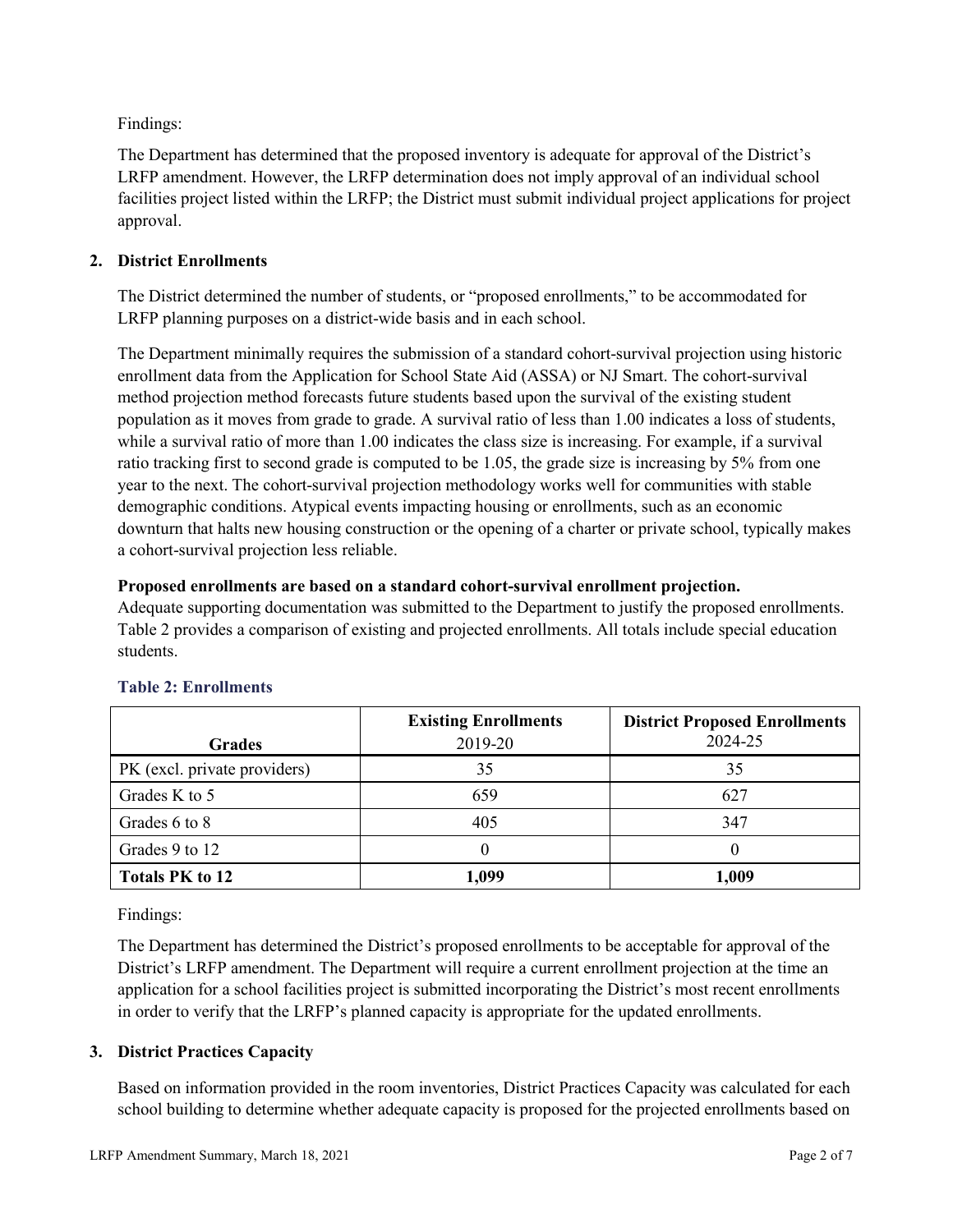Findings:

The Department has determined that the proposed inventory is adequate for approval of the District's LRFP amendment. However, the LRFP determination does not imply approval of an individual school facilities project listed within the LRFP; the District must submit individual project applications for project approval.

# **2. District Enrollments**

The District determined the number of students, or "proposed enrollments," to be accommodated for LRFP planning purposes on a district-wide basis and in each school.

The Department minimally requires the submission of a standard cohort-survival projection using historic enrollment data from the Application for School State Aid (ASSA) or NJ Smart. The cohort-survival method projection method forecasts future students based upon the survival of the existing student population as it moves from grade to grade. A survival ratio of less than 1.00 indicates a loss of students, while a survival ratio of more than 1.00 indicates the class size is increasing. For example, if a survival ratio tracking first to second grade is computed to be 1.05, the grade size is increasing by 5% from one year to the next. The cohort-survival projection methodology works well for communities with stable demographic conditions. Atypical events impacting housing or enrollments, such as an economic downturn that halts new housing construction or the opening of a charter or private school, typically makes a cohort-survival projection less reliable.

#### **Proposed enrollments are based on a standard cohort-survival enrollment projection.**

Adequate supporting documentation was submitted to the Department to justify the proposed enrollments. Table 2 provides a comparison of existing and projected enrollments. All totals include special education students.

|                              | <b>Existing Enrollments</b> | <b>District Proposed Enrollments</b> |
|------------------------------|-----------------------------|--------------------------------------|
| <b>Grades</b>                | 2019-20                     | 2024-25                              |
| PK (excl. private providers) | 35                          | 35                                   |
| Grades K to 5                | 659                         | 627                                  |
| Grades 6 to 8                | 405                         | 347                                  |
| Grades 9 to 12               |                             |                                      |
| <b>Totals PK to 12</b>       | 1,099                       | 1,009                                |

# **Table 2: Enrollments**

Findings:

The Department has determined the District's proposed enrollments to be acceptable for approval of the District's LRFP amendment. The Department will require a current enrollment projection at the time an application for a school facilities project is submitted incorporating the District's most recent enrollments in order to verify that the LRFP's planned capacity is appropriate for the updated enrollments.

# **3. District Practices Capacity**

Based on information provided in the room inventories, District Practices Capacity was calculated for each school building to determine whether adequate capacity is proposed for the projected enrollments based on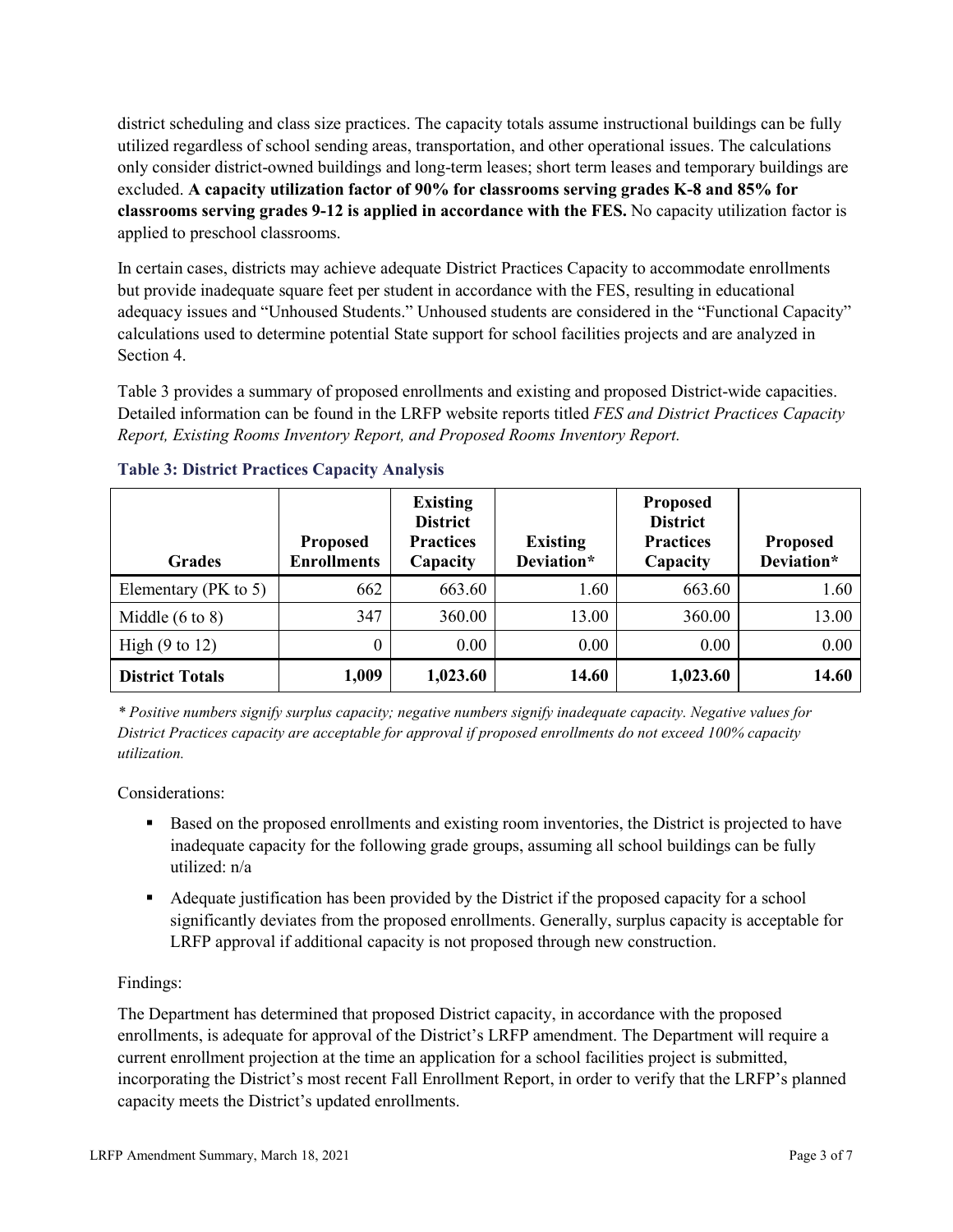district scheduling and class size practices. The capacity totals assume instructional buildings can be fully utilized regardless of school sending areas, transportation, and other operational issues. The calculations only consider district-owned buildings and long-term leases; short term leases and temporary buildings are excluded. **A capacity utilization factor of 90% for classrooms serving grades K-8 and 85% for classrooms serving grades 9-12 is applied in accordance with the FES.** No capacity utilization factor is applied to preschool classrooms.

In certain cases, districts may achieve adequate District Practices Capacity to accommodate enrollments but provide inadequate square feet per student in accordance with the FES, resulting in educational adequacy issues and "Unhoused Students." Unhoused students are considered in the "Functional Capacity" calculations used to determine potential State support for school facilities projects and are analyzed in Section 4.

Table 3 provides a summary of proposed enrollments and existing and proposed District-wide capacities. Detailed information can be found in the LRFP website reports titled *FES and District Practices Capacity Report, Existing Rooms Inventory Report, and Proposed Rooms Inventory Report.*

| <b>Grades</b>              | <b>Proposed</b><br><b>Enrollments</b> | <b>Existing</b><br><b>District</b><br><b>Practices</b><br>Capacity | <b>Existing</b><br>Deviation* | <b>Proposed</b><br><b>District</b><br><b>Practices</b><br>Capacity | <b>Proposed</b><br>Deviation* |
|----------------------------|---------------------------------------|--------------------------------------------------------------------|-------------------------------|--------------------------------------------------------------------|-------------------------------|
| Elementary ( $PK$ to 5)    | 662                                   | 663.60                                                             | 1.60                          | 663.60                                                             | 1.60                          |
| Middle $(6 \text{ to } 8)$ | 347                                   | 360.00                                                             | 13.00                         | 360.00                                                             | 13.00                         |
| High $(9 \text{ to } 12)$  | $\theta$                              | 0.00                                                               | 0.00                          | 0.00                                                               | 0.00                          |
| <b>District Totals</b>     | 1,009                                 | 1,023.60                                                           | 14.60                         | 1,023.60                                                           | 14.60                         |

# **Table 3: District Practices Capacity Analysis**

*\* Positive numbers signify surplus capacity; negative numbers signify inadequate capacity. Negative values for District Practices capacity are acceptable for approval if proposed enrollments do not exceed 100% capacity utilization.*

Considerations:

- Based on the proposed enrollments and existing room inventories, the District is projected to have inadequate capacity for the following grade groups, assuming all school buildings can be fully utilized: n/a
- Adequate justification has been provided by the District if the proposed capacity for a school significantly deviates from the proposed enrollments. Generally, surplus capacity is acceptable for LRFP approval if additional capacity is not proposed through new construction.

# Findings:

The Department has determined that proposed District capacity, in accordance with the proposed enrollments, is adequate for approval of the District's LRFP amendment. The Department will require a current enrollment projection at the time an application for a school facilities project is submitted, incorporating the District's most recent Fall Enrollment Report, in order to verify that the LRFP's planned capacity meets the District's updated enrollments.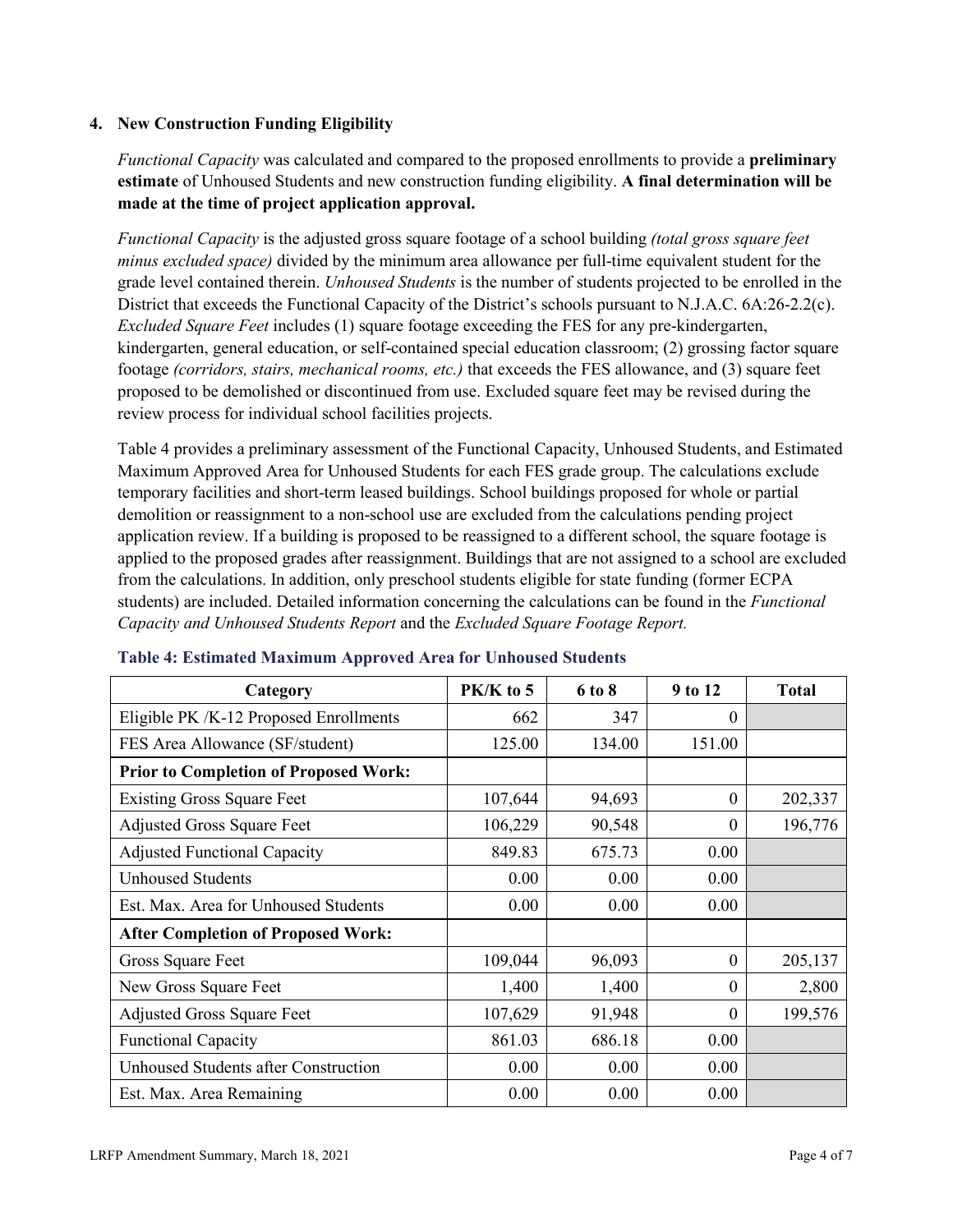#### **4. New Construction Funding Eligibility**

*Functional Capacity* was calculated and compared to the proposed enrollments to provide a **preliminary estimate** of Unhoused Students and new construction funding eligibility. **A final determination will be made at the time of project application approval.**

*Functional Capacity* is the adjusted gross square footage of a school building *(total gross square feet minus excluded space)* divided by the minimum area allowance per full-time equivalent student for the grade level contained therein. *Unhoused Students* is the number of students projected to be enrolled in the District that exceeds the Functional Capacity of the District's schools pursuant to N.J.A.C. 6A:26-2.2(c). *Excluded Square Feet* includes (1) square footage exceeding the FES for any pre-kindergarten, kindergarten, general education, or self-contained special education classroom; (2) grossing factor square footage *(corridors, stairs, mechanical rooms, etc.)* that exceeds the FES allowance, and (3) square feet proposed to be demolished or discontinued from use. Excluded square feet may be revised during the review process for individual school facilities projects.

Table 4 provides a preliminary assessment of the Functional Capacity, Unhoused Students, and Estimated Maximum Approved Area for Unhoused Students for each FES grade group. The calculations exclude temporary facilities and short-term leased buildings. School buildings proposed for whole or partial demolition or reassignment to a non-school use are excluded from the calculations pending project application review. If a building is proposed to be reassigned to a different school, the square footage is applied to the proposed grades after reassignment. Buildings that are not assigned to a school are excluded from the calculations. In addition, only preschool students eligible for state funding (former ECPA students) are included. Detailed information concerning the calculations can be found in the *Functional Capacity and Unhoused Students Report* and the *Excluded Square Footage Report.*

| Category                                     | $PK/K$ to 5 | 6 to 8 | 9 to 12  | <b>Total</b> |
|----------------------------------------------|-------------|--------|----------|--------------|
| Eligible PK /K-12 Proposed Enrollments       | 662         | 347    | 0        |              |
| FES Area Allowance (SF/student)              | 125.00      | 134.00 | 151.00   |              |
| <b>Prior to Completion of Proposed Work:</b> |             |        |          |              |
| <b>Existing Gross Square Feet</b>            | 107,644     | 94,693 | 0        | 202,337      |
| <b>Adjusted Gross Square Feet</b>            | 106,229     | 90,548 | $\theta$ | 196,776      |
| <b>Adjusted Functional Capacity</b>          | 849.83      | 675.73 | 0.00     |              |
| <b>Unhoused Students</b>                     | 0.00        | 0.00   | 0.00     |              |
| Est. Max. Area for Unhoused Students         | 0.00        | 0.00   | 0.00     |              |
| <b>After Completion of Proposed Work:</b>    |             |        |          |              |
| Gross Square Feet                            | 109,044     | 96,093 | $\theta$ | 205,137      |
| New Gross Square Feet                        | 1,400       | 1,400  | $\theta$ | 2,800        |
| <b>Adjusted Gross Square Feet</b>            | 107,629     | 91,948 | $\Omega$ | 199,576      |
| <b>Functional Capacity</b>                   | 861.03      | 686.18 | 0.00     |              |
| Unhoused Students after Construction         | 0.00        | 0.00   | 0.00     |              |
| Est. Max. Area Remaining                     | 0.00        | 0.00   | 0.00     |              |

#### **Table 4: Estimated Maximum Approved Area for Unhoused Students**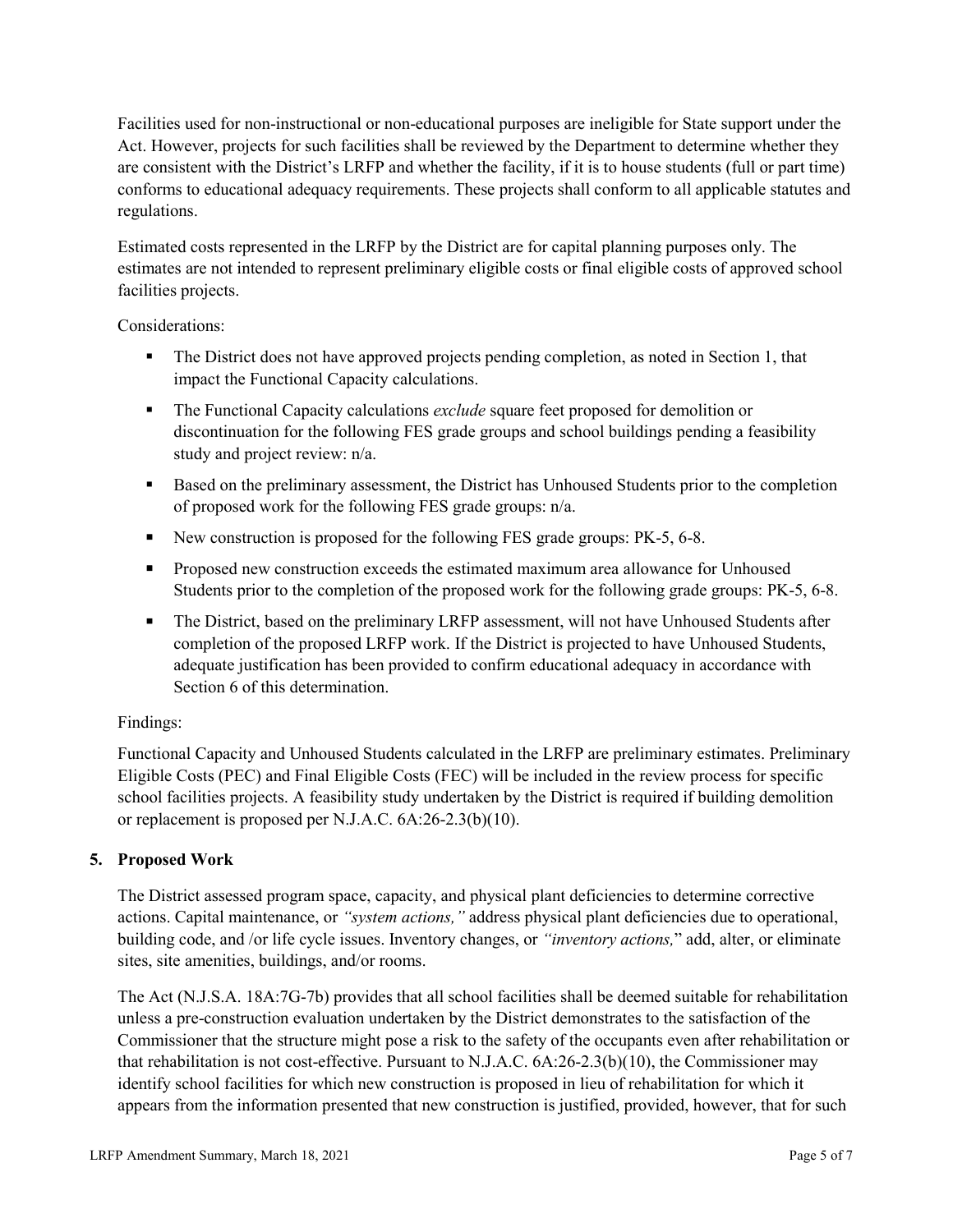Facilities used for non-instructional or non-educational purposes are ineligible for State support under the Act. However, projects for such facilities shall be reviewed by the Department to determine whether they are consistent with the District's LRFP and whether the facility, if it is to house students (full or part time) conforms to educational adequacy requirements. These projects shall conform to all applicable statutes and regulations.

Estimated costs represented in the LRFP by the District are for capital planning purposes only. The estimates are not intended to represent preliminary eligible costs or final eligible costs of approved school facilities projects.

Considerations:

- The District does not have approved projects pending completion, as noted in Section 1, that impact the Functional Capacity calculations.
- **The Functional Capacity calculations** *exclude* square feet proposed for demolition or discontinuation for the following FES grade groups and school buildings pending a feasibility study and project review: n/a.
- Based on the preliminary assessment, the District has Unhoused Students prior to the completion of proposed work for the following FES grade groups: n/a.
- New construction is proposed for the following FES grade groups: PK-5, 6-8.
- Proposed new construction exceeds the estimated maximum area allowance for Unhoused Students prior to the completion of the proposed work for the following grade groups: PK-5, 6-8.
- The District, based on the preliminary LRFP assessment, will not have Unhoused Students after completion of the proposed LRFP work. If the District is projected to have Unhoused Students, adequate justification has been provided to confirm educational adequacy in accordance with Section 6 of this determination.

# Findings:

Functional Capacity and Unhoused Students calculated in the LRFP are preliminary estimates. Preliminary Eligible Costs (PEC) and Final Eligible Costs (FEC) will be included in the review process for specific school facilities projects. A feasibility study undertaken by the District is required if building demolition or replacement is proposed per N.J.A.C. 6A:26-2.3(b)(10).

# **5. Proposed Work**

The District assessed program space, capacity, and physical plant deficiencies to determine corrective actions. Capital maintenance, or *"system actions,"* address physical plant deficiencies due to operational, building code, and /or life cycle issues. Inventory changes, or *"inventory actions,*" add, alter, or eliminate sites, site amenities, buildings, and/or rooms.

The Act (N.J.S.A. 18A:7G-7b) provides that all school facilities shall be deemed suitable for rehabilitation unless a pre-construction evaluation undertaken by the District demonstrates to the satisfaction of the Commissioner that the structure might pose a risk to the safety of the occupants even after rehabilitation or that rehabilitation is not cost-effective. Pursuant to N.J.A.C. 6A:26-2.3(b)(10), the Commissioner may identify school facilities for which new construction is proposed in lieu of rehabilitation for which it appears from the information presented that new construction is justified, provided, however, that for such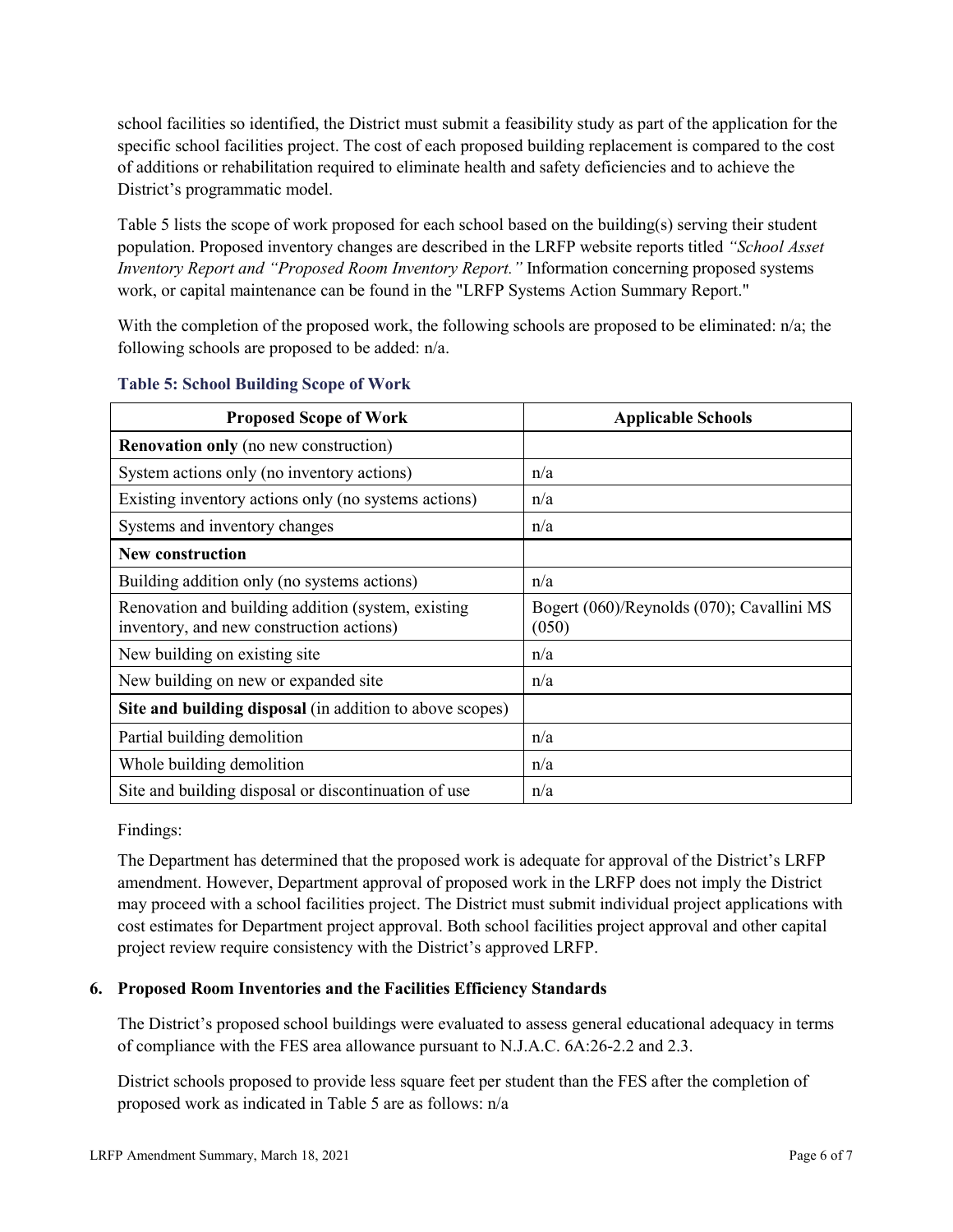school facilities so identified, the District must submit a feasibility study as part of the application for the specific school facilities project. The cost of each proposed building replacement is compared to the cost of additions or rehabilitation required to eliminate health and safety deficiencies and to achieve the District's programmatic model.

Table 5 lists the scope of work proposed for each school based on the building(s) serving their student population. Proposed inventory changes are described in the LRFP website reports titled *"School Asset Inventory Report and "Proposed Room Inventory Report."* Information concerning proposed systems work, or capital maintenance can be found in the "LRFP Systems Action Summary Report."

With the completion of the proposed work, the following schools are proposed to be eliminated: n/a; the following schools are proposed to be added: n/a.

| <b>Proposed Scope of Work</b>                                                                  | <b>Applicable Schools</b>                          |
|------------------------------------------------------------------------------------------------|----------------------------------------------------|
| <b>Renovation only</b> (no new construction)                                                   |                                                    |
| System actions only (no inventory actions)                                                     | n/a                                                |
| Existing inventory actions only (no systems actions)                                           | n/a                                                |
| Systems and inventory changes                                                                  | n/a                                                |
| <b>New construction</b>                                                                        |                                                    |
| Building addition only (no systems actions)                                                    | n/a                                                |
| Renovation and building addition (system, existing<br>inventory, and new construction actions) | Bogert (060)/Reynolds (070); Cavallini MS<br>(050) |
| New building on existing site                                                                  | n/a                                                |
| New building on new or expanded site                                                           | n/a                                                |
| Site and building disposal (in addition to above scopes)                                       |                                                    |
| Partial building demolition                                                                    | n/a                                                |
| Whole building demolition                                                                      | n/a                                                |
| Site and building disposal or discontinuation of use                                           | n/a                                                |

#### **Table 5: School Building Scope of Work**

Findings:

The Department has determined that the proposed work is adequate for approval of the District's LRFP amendment. However, Department approval of proposed work in the LRFP does not imply the District may proceed with a school facilities project. The District must submit individual project applications with cost estimates for Department project approval. Both school facilities project approval and other capital project review require consistency with the District's approved LRFP.

# **6. Proposed Room Inventories and the Facilities Efficiency Standards**

The District's proposed school buildings were evaluated to assess general educational adequacy in terms of compliance with the FES area allowance pursuant to N.J.A.C. 6A:26-2.2 and 2.3.

District schools proposed to provide less square feet per student than the FES after the completion of proposed work as indicated in Table 5 are as follows: n/a